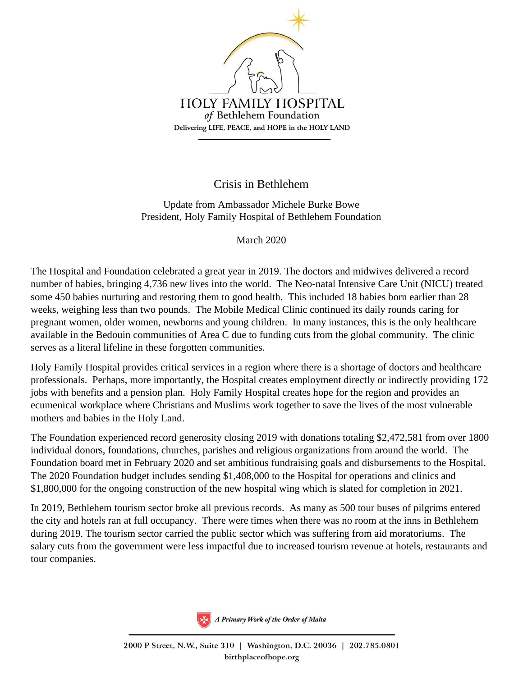

## Crisis in Bethlehem

Update from Ambassador Michele Burke Bowe President, Holy Family Hospital of Bethlehem Foundation

March 2020

The Hospital and Foundation celebrated a great year in 2019. The doctors and midwives delivered a record number of babies, bringing 4,736 new lives into the world. The Neo-natal Intensive Care Unit (NICU) treated some 450 babies nurturing and restoring them to good health. This included 18 babies born earlier than 28 weeks, weighing less than two pounds. The Mobile Medical Clinic continued its daily rounds caring for pregnant women, older women, newborns and young children. In many instances, this is the only healthcare available in the Bedouin communities of Area C due to funding cuts from the global community. The clinic serves as a literal lifeline in these forgotten communities.

Holy Family Hospital provides critical services in a region where there is a shortage of doctors and healthcare professionals. Perhaps, more importantly, the Hospital creates employment directly or indirectly providing 172 jobs with benefits and a pension plan. Holy Family Hospital creates hope for the region and provides an ecumenical workplace where Christians and Muslims work together to save the lives of the most vulnerable mothers and babies in the Holy Land.

The Foundation experienced record generosity closing 2019 with donations totaling \$2,472,581 from over 1800 individual donors, foundations, churches, parishes and religious organizations from around the world. The Foundation board met in February 2020 and set ambitious fundraising goals and disbursements to the Hospital. The 2020 Foundation budget includes sending \$1,408,000 to the Hospital for operations and clinics and \$1,800,000 for the ongoing construction of the new hospital wing which is slated for completion in 2021.

In 2019, Bethlehem tourism sector broke all previous records. As many as 500 tour buses of pilgrims entered the city and hotels ran at full occupancy. There were times when there was no room at the inns in Bethlehem during 2019. The tourism sector carried the public sector which was suffering from aid moratoriums. The salary cuts from the government were less impactful due to increased tourism revenue at hotels, restaurants and tour companies.